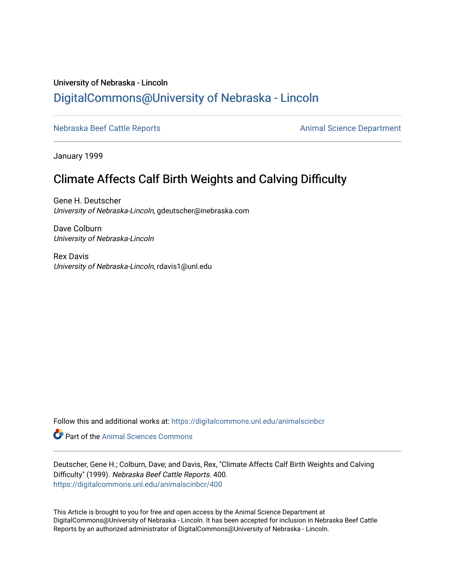# University of Nebraska - Lincoln [DigitalCommons@University of Nebraska - Lincoln](https://digitalcommons.unl.edu/)

[Nebraska Beef Cattle Reports](https://digitalcommons.unl.edu/animalscinbcr) **Animal Science Department** 

January 1999

# Climate Affects Calf Birth Weights and Calving Difficulty

Gene H. Deutscher University of Nebraska-Lincoln, gdeutscher@inebraska.com

Dave Colburn University of Nebraska-Lincoln

Rex Davis University of Nebraska-Lincoln, rdavis1@unl.edu

Follow this and additional works at: [https://digitalcommons.unl.edu/animalscinbcr](https://digitalcommons.unl.edu/animalscinbcr?utm_source=digitalcommons.unl.edu%2Fanimalscinbcr%2F400&utm_medium=PDF&utm_campaign=PDFCoverPages)

Part of the [Animal Sciences Commons](http://network.bepress.com/hgg/discipline/76?utm_source=digitalcommons.unl.edu%2Fanimalscinbcr%2F400&utm_medium=PDF&utm_campaign=PDFCoverPages) 

Deutscher, Gene H.; Colburn, Dave; and Davis, Rex, "Climate Affects Calf Birth Weights and Calving Difficulty" (1999). Nebraska Beef Cattle Reports. 400. [https://digitalcommons.unl.edu/animalscinbcr/400](https://digitalcommons.unl.edu/animalscinbcr/400?utm_source=digitalcommons.unl.edu%2Fanimalscinbcr%2F400&utm_medium=PDF&utm_campaign=PDFCoverPages)

This Article is brought to you for free and open access by the Animal Science Department at DigitalCommons@University of Nebraska - Lincoln. It has been accepted for inclusion in Nebraska Beef Cattle Reports by an authorized administrator of DigitalCommons@University of Nebraska - Lincoln.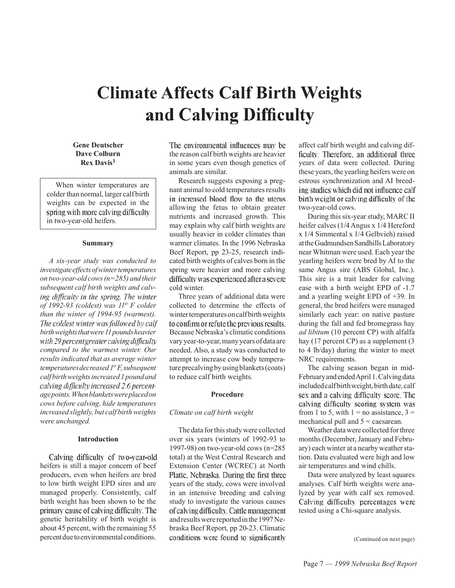# **Climate Affects Calf Birth Weights** and Calving Difficulty

# **Gene Deutscher Dave Colburn Rex Davis<sup>1</sup>**

When winter temperatures are colder than normal, larger calf birth weights can be expected in the spring with more calving difficulty in two-year-old heifers.

## **Summary**

*A six-year study was conducted to investigate effects of winter temperatures on two-year-old cows (n=285) and their subsequent calf birth weights and calv*ing difficulty in the spring. The winter *of 1992-93 (coldest) was 11o F colder than the winter of 1994-95 (warmest).*  The coldest winter was followed by calf *birth weights that were 11 pounds heavier*  with 29 percent greater calving difficulty *compared to the warmest winter. Our results indicated that as average winter temperatures decreased 1o F, subsequent calf birth weights increased 1 pound and*  calving difficulty increased 2.6 percent*age points. When blankets were placed on cows before calving, hide temperatures increased slightly, but calf birth weights were unchanged.*

### **Introduction**

Calving difficulty of two-year-old heifers is still a major concern of beef producers, even when heifers are bred to low birth weight EPD sires and are managed properly. Consistently, calf birth weight has been shown to be the primary cause of calving difficulty. The genetic heritability of birth weight is about 45 percent, with the remaining 55 percent due to environmental conditions.

The environmental influences may be the reason calf birth weights are heavier in some years even though genetics of animals are similar.

Research suggests exposing a pregnant animal to cold temperatures results in increased blood flow to the uterus allowing the fetus to obtain greater nutrients and increased growth. This may explain why calf birth weights are usually heavier in colder climates than warmer climates. In the 1996 Nebraska Beef Report, pp 23-25, research indicated birth weights of calves born in the spring were heavier and more calving difficulty was experienced after a severe cold winter.

Three years of additional data were collected to determine the effects of winter temperatures on calf birth weights to confirm or refute the previous results. Because Nebraska's climatic conditions vary year-to-year, many years of data are needed. Also, a study was conducted to attempt to increase cow body temperature precalving by using blankets (coats) to reduce calf birth weights.

#### **Procedure**

# *Climate on calf birth weight*

The data for this study were collected over six years (winters of 1992-93 to 1997-98) on two-year-old cows (n=285 total) at the West Central Research and Extension Center (WCREC) at North Platte, Nebraska. During the first three years of the study, cows were involved in an intensive breeding and calving study to investigate the various causes of calving difficulty. Cattle management and results were reported in the 1997 Nebraska Beef Report, pp 20-23. Climatic conditions were found to significantly

affect calf birth weight and calving difficulty. Therefore, an additional three years of data were collected. During these years, the yearling heifers were on estrous synchronization and AI breeding studies which did not influence calf birth weight or calving difficulty of the two-year-old cows.

During this six-year study, MARC II heifer calves (1/4 Angus x 1/4 Hereford x 1/4 Simmental x 1/4 Gelbvieh) raised at the Gudmundsen Sandhills Laboratory near Whitman were used. Each year the yearling heifers were bred by AI to the same Angus sire (ABS Global, Inc.). This sire is a trait leader for calving ease with a birth weight EPD of -1.7 and a yearling weight EPD of +39. In general, the bred heifers were managed similarly each year: on native pasture during the fall and fed bromegrass hay *ad libitum* (10 percent CP) with alfalfa hay (17 percent CP) as a supplement (3 to 4 lb/day) during the winter to meet NRC requirements.

The calving season began in mid-February and ended April 1. Calving data included calf birth weight, birth date, calf sex and a calving difficulty score. The calving difficulty scoring system was from 1 to 5, with  $1 = no$  assistance,  $3 =$ mechanical pull and  $5 =$  caesarean.

Weather data were collected for three months (December, January and February) each winter at a nearby weather station. Data evaluated were high and low air temperatures and wind chills.

Data were analyzed by least squares analyses. Calf birth weights were analyzed by year with calf sex removed. Calving difficulty percentages were tested using a Chi-square analysis.

(Continued on next page)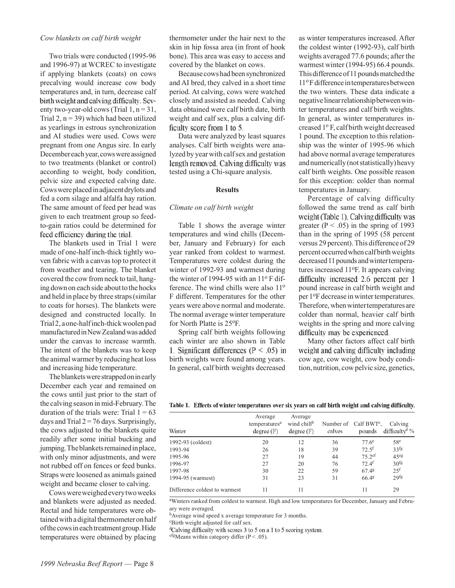#### *Cow blankets on calf birth weight*

Two trials were conducted (1995-96 and 1996-97) at WCREC to investigate if applying blankets (coats) on cows precalving would increase cow body temperatures and, in turn, decrease calf birth weight and calving difficulty. Seventy two-year-old cows (Trial  $1, n = 31$ , Trial 2,  $n = 39$ ) which had been utilized as yearlings in estrous synchronization and AI studies were used. Cows were pregnant from one Angus sire. In early December each year, cows were assigned to two treatments (blanket or control) according to weight, body condition, pelvic size and expected calving date. Cows were placed in adjacent drylots and fed a corn silage and alfalfa hay ration. The same amount of feed per head was given to each treatment group so feedto-gain ratios could be determined for feed efficiency during the trial.

The blankets used in Trial 1 were made of one-half inch-thick tightly woven fabric with a canvas top to protect it from weather and tearing. The blanket covered the cow from neck to tail, hanging down on each side about to the hocks and held in place by three straps (similar to coats for horses). The blankets were designed and constructed locally. In Trial 2, a one-half inch-thick woolen pad manufactured in New Zealand was added under the canvas to increase warmth. The intent of the blankets was to keep the animal warmer by reducing heat loss and increasing hide temperature.

The blankets were strapped on in early December each year and remained on the cows until just prior to the start of the calving season in mid-February. The duration of the trials were: Trial  $1 = 63$ days and Trial  $2 = 76$  days. Surprisingly, the cows adjusted to the blankets quite readily after some initial bucking and jumping. The blankets remained in place, with only minor adjustments, and were not rubbed off on fences or feed bunks. Straps were loosened as animals gained weight and became closer to calving.

Cows were weighed every two weeks and blankets were adjusted as needed. Rectal and hide temperatures were obtained with a digital thermometer on half of the cows in each treatment group. Hide temperatures were obtained by placing

thermometer under the hair next to the skin in hip fossa area (in front of hook bone). This area was easy to access and covered by the blanket on cows.

Because cows had been synchronized and AI bred, they calved in a short time period. At calving, cows were watched closely and assisted as needed. Calving data obtained were calf birth date, birth weight and calf sex, plus a calving difficulty score from 1 to 5.

Data were analyzed by least squares analyses. Calf birth weights were analyzed by year with calf sex and gestation length removed. Calving difficulty was tested using a Chi-square analysis.

#### **Results**

## *Climate on calf birth weight*

Table 1 shows the average winter temperatures and wind chills (December, January and February) for each year ranked from coldest to warmest. Temperatures were coldest during the winter of 1992-93 and warmest during the winter of 1994-95 with an  $11^{\circ}$  F difference. The wind chills were also  $11^{\circ}$ F different. Temperatures for the other years were above normal and moderate. The normal average winter temperature for North Platte is 25°F.

Spring calf birth weights following each winter are also shown in Table 1. Significant differences ( $P < .05$ ) in birth weights were found among years. In general, calf birth weights decreased as winter temperatures increased. After the coldest winter (1992-93), calf birth weights averaged 77.6 pounds; after the warmest winter (1994-95) 66.4 pounds. This difference of 11 pounds matched the 11o F difference in temperatures between the two winters. These data indicate a negative linear relationship between winter temperatures and calf birth weights. In general, as winter temperatures increased 1o F, calf birth weight decreased 1 pound. The exception to this relationship was the winter of 1995-96 which had above normal average temperatures and numerically (not statistically) heavy calf birth weights. One possible reason for this exception: colder than normal temperatures in January.

Percentage of calving difficulty followed the same trend as calf birth weight (Table 1). Calving difficulty was greater ( $P < .05$ ) in the spring of 1993 than in the spring of 1995 (58 percent versus 29 percent). This difference of 29 percent occurred when calf birth weights decreased 11 pounds and winter temperatures increased 11°F. It appears calving difficulty increased 2.6 percent per 1 pound increase in calf birth weight and per 1°F decrease in winter temperatures. Therefore, when winter temperatures are colder than normal, heavier calf birth weights in the spring and more calving difficulty may be experienced.

Many other factors affect calf birth weight and calving difficulty including cow age, cow weight, cow body condition, nutrition, cow pelvic size, genetics,

Table 1. Effects of winter temperatures over six years on calf birth weight and calving difficulty.

| Winter                        | Average<br>temperatures <sup>a</sup><br>degree(F) | Average<br>wind chill <sup>b</sup><br>degree(F) | calves | Number of Calf BWT <sup>c</sup> ,<br>pounds | Calving<br>difficulty <sup>d</sup> % |
|-------------------------------|---------------------------------------------------|-------------------------------------------------|--------|---------------------------------------------|--------------------------------------|
| 1992-93 (coldest)             | 20                                                | 12                                              | 36     | $77.6^e$                                    | 58 <sup>e</sup>                      |
| 1993-94                       | 26                                                | 18                                              | 39     | $72.5$ <sup>f</sup>                         | 33 <sup>f</sup> g                    |
| 1995-96                       | 27                                                | 19                                              | 44     | $75.2$ ef                                   | 45 <sup>eg</sup>                     |
| 1996-97                       | 27                                                | 20                                              | 76     | $72.4$ <sup>f</sup>                         | 30 <sup>fg</sup>                     |
| 1997-98                       | 30                                                | 22                                              | 59     | 67.48                                       | 25 <sup>f</sup>                      |
| 1994-95 (warmest)             | 31                                                | 23                                              | 31     | 66.48                                       | 29 <sup>fg</sup>                     |
| Difference coldest to warmest |                                                   | 11                                              |        | 11                                          | 29                                   |

aWinters ranked from coldest to warmest. High and low temperatures for December, January and February were averaged.

<sup>b</sup>Average wind speed x average temperature for 3 months.

cBirth weight adjusted for calf sex.

<sup>d</sup>Calving difficulty with scores 3 to 5 on a 1 to 5 scoring system.

 $e^{fg}$ Means within category differ (P < .05).